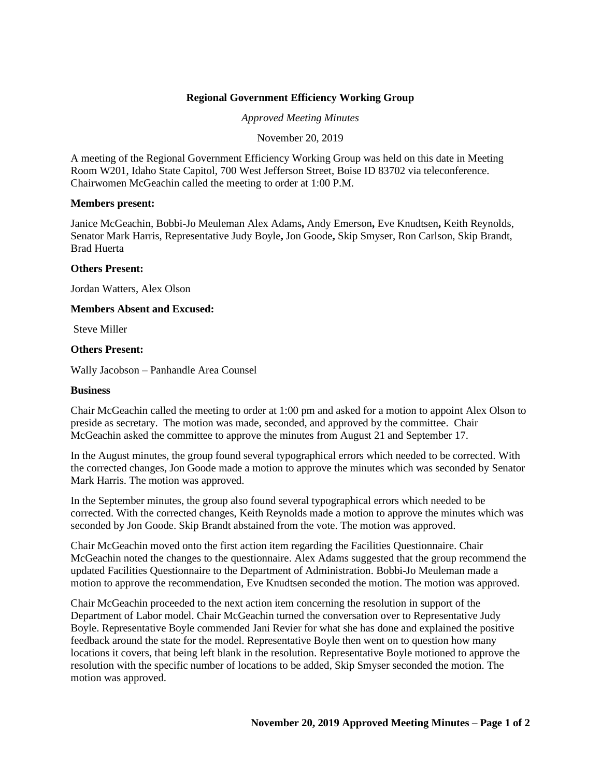# **Regional Government Efficiency Working Group**

*Approved Meeting Minutes*

November 20, 2019

A meeting of the Regional Government Efficiency Working Group was held on this date in Meeting Room W201, Idaho State Capitol, 700 West Jefferson Street, Boise ID 83702 via teleconference. Chairwomen McGeachin called the meeting to order at 1:00 P.M.

## **Members present:**

Janice McGeachin, Bobbi-Jo Meuleman Alex Adams**,** Andy Emerson**,** Eve Knudtsen**,** Keith Reynolds, Senator Mark Harris, Representative Judy Boyle**,** Jon Goode**,** Skip Smyser, Ron Carlson, Skip Brandt, Brad Huerta

## **Others Present:**

Jordan Watters, Alex Olson

## **Members Absent and Excused:**

Steve Miller

## **Others Present:**

Wally Jacobson – Panhandle Area Counsel

#### **Business**

Chair McGeachin called the meeting to order at 1:00 pm and asked for a motion to appoint Alex Olson to preside as secretary. The motion was made, seconded, and approved by the committee. Chair McGeachin asked the committee to approve the minutes from August 21 and September 17.

In the August minutes, the group found several typographical errors which needed to be corrected. With the corrected changes, Jon Goode made a motion to approve the minutes which was seconded by Senator Mark Harris. The motion was approved.

In the September minutes, the group also found several typographical errors which needed to be corrected. With the corrected changes, Keith Reynolds made a motion to approve the minutes which was seconded by Jon Goode. Skip Brandt abstained from the vote. The motion was approved.

Chair McGeachin moved onto the first action item regarding the Facilities Questionnaire. Chair McGeachin noted the changes to the questionnaire. Alex Adams suggested that the group recommend the updated Facilities Questionnaire to the Department of Administration. Bobbi-Jo Meuleman made a motion to approve the recommendation, Eve Knudtsen seconded the motion. The motion was approved.

Chair McGeachin proceeded to the next action item concerning the resolution in support of the Department of Labor model. Chair McGeachin turned the conversation over to Representative Judy Boyle. Representative Boyle commended Jani Revier for what she has done and explained the positive feedback around the state for the model. Representative Boyle then went on to question how many locations it covers, that being left blank in the resolution. Representative Boyle motioned to approve the resolution with the specific number of locations to be added, Skip Smyser seconded the motion. The motion was approved.